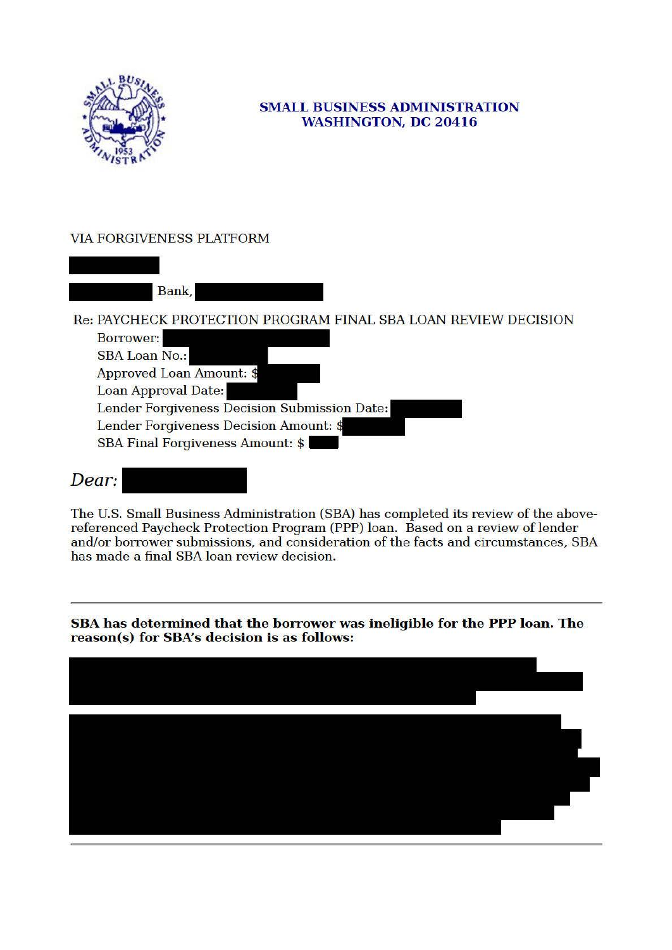

## **SMALL BUSINESS ADMINISTRATION WASHINGTON, DC 20416**

## **VIA FORGIVENESS PLATFORM**

Bank, Re: PAYCHECK PROTECTION PROGRAM FINAL SBA LOAN REVIEW DECISION **Borrower: SBA Loan No.:** Approved Loan Amount: \$ Loan Approval Date: Lender Forgiveness Decision Submission Date: Lender Forgiveness Decision Amount: \$ **SBA Final Forgiveness Amount: \$** 

## Dear:

The U.S. Small Business Administration (SBA) has completed its review of the abovereferenced Paycheck Protection Program (PPP) loan. Based on a review of lender and/or borrower submissions, and consideration of the facts and circumstances, SBA has made a final SBA loan review decision.

SBA has determined that the borrower was ineligible for the PPP loan. The reason(s) for SBA's decision is as follows: